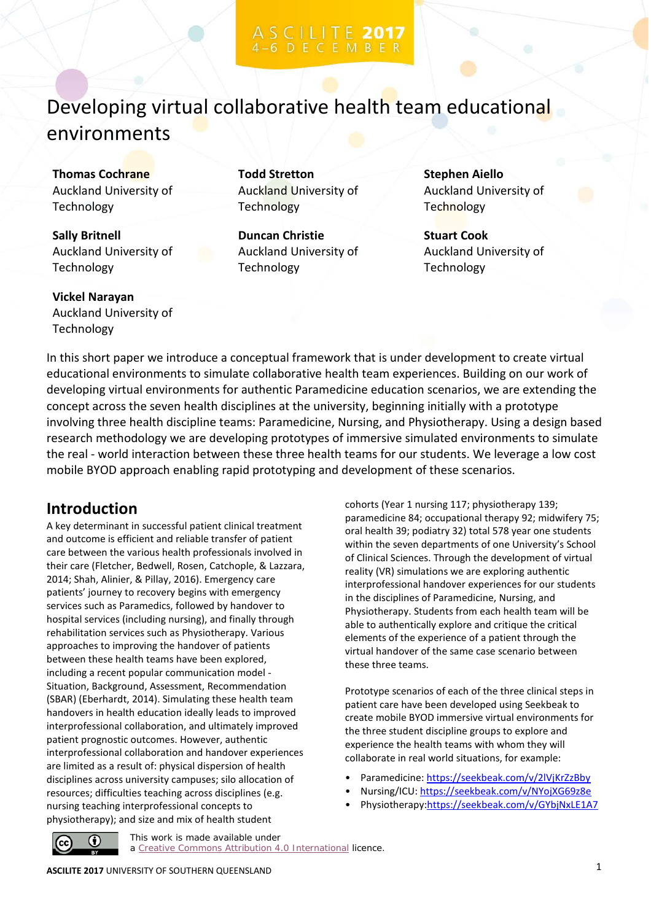## Developing virtual collaborative health team educational environments

**Thomas Cochrane** Auckland University of Technology

**Sally Britnell** Auckland University of Technology

**Vickel Narayan** Auckland University of Technology

**Todd Stretton** Auckland University of **Technology** 

**Duncan Christie** Auckland University of Technology

**Stephen Aiello** Auckland University of Technology

**Stuart Cook** Auckland University of Technology

In this short paper we introduce a conceptual framework that is under development to create virtual educational environments to simulate collaborative health team experiences. Building on our work of developing virtual environments for authentic Paramedicine education scenarios, we are extending the concept across the seven health disciplines at the university, beginning initially with a prototype involving three health discipline teams: Paramedicine, Nursing, and Physiotherapy. Using a design based research methodology we are developing prototypes of immersive simulated environments to simulate the real - world interaction between these three health teams for our students. We leverage a low cost mobile BYOD approach enabling rapid prototyping and development of these scenarios.

### **Introduction**

A key determinant in successful patient clinical treatment and outcome is efficient and reliable transfer of patient care between the various health professionals involved in their care (Fletcher, Bedwell, Rosen, Catchople, & Lazzara, 2014; Shah, Alinier, & Pillay, 2016). Emergency care patients' journey to recovery begins with emergency services such as Paramedics, followed by handover to hospital services (including nursing), and finally through rehabilitation services such as Physiotherapy. Various approaches to improving the handover of patients between these health teams have been explored, including a recent popular communication model - Situation, Background, Assessment, Recommendation (SBAR) (Eberhardt, 2014). Simulating these health team handovers in health education ideally leads to improved interprofessional collaboration, and ultimately improved patient prognostic outcomes. However, authentic interprofessional collaboration and handover experiences are limited as a result of: physical dispersion of health disciplines across university campuses; silo allocation of resources; difficulties teaching across disciplines (e.g. nursing teaching interprofessional concepts to physiotherapy); and size and mix of health student

cohorts (Year 1 nursing 117; physiotherapy 139; paramedicine 84; occupational therapy 92; midwifery 75; oral health 39; podiatry 32) total 578 year one students within the seven departments of one University's School of Clinical Sciences. Through the development of virtual reality (VR) simulations we are exploring authentic interprofessional handover experiences for our students in the disciplines of Paramedicine, Nursing, and Physiotherapy. Students from each health team will be able to authentically explore and critique the critical elements of the experience of a patient through the virtual handover of the same case scenario between these three teams.

Prototype scenarios of each of the three clinical steps in patient care have been developed using Seekbeak to create mobile BYOD immersive virtual environments for the three student discipline groups to explore and experience the health teams with whom they will collaborate in real world situations, for example:

- Paramedicine:<https://seekbeak.com/v/2lVjKrZzBby>
- Nursing/ICU:<https://seekbeak.com/v/NYojXG69z8e>
- Physiotherapy[:https://seekbeak.com/v/GYbjNxLE1A7](https://seekbeak.com/v/GYbjNxLE1A7)



This work is made available under a [Creative Commons Attribution 4.0 International](https://creativecommons.org/licenses/by/4.0/) licence.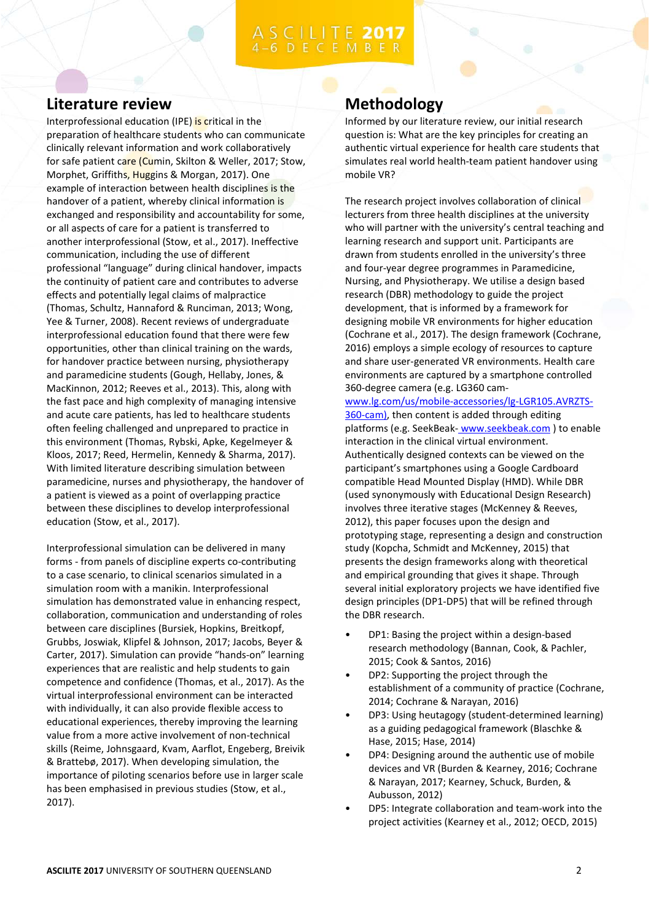#### **Literature review**

Interprofessional education (IPE) is critical in the preparation of healthcare students who can communicate clinically relevant information and work collaboratively for safe patient care (Cumin, Skilton & Weller, 2017; Stow, Morphet, Griffiths, Huggins & Morgan, 2017). One example of interaction between health disciplines is the handover of a patient, whereby clinical information is exchanged and responsibility and accountability for some, or all aspects of care for a patient is transferred to another interprofessional (Stow, et al., 2017). Ineffective communication, including the use of different professional "language" during clinical handover, impacts the continuity of patient care and contributes to adverse effects and potentially legal claims of malpractice (Thomas, Schultz, Hannaford & Runciman, 2013; Wong, Yee & Turner, 2008). Recent reviews of undergraduate interprofessional education found that there were few opportunities, other than clinical training on the wards, for handover practice between nursing, physiotherapy and paramedicine students (Gough, Hellaby, Jones, & MacKinnon, 2012; Reeves et al., 2013). This, along with the fast pace and high complexity of managing intensive and acute care patients, has led to healthcare students often feeling challenged and unprepared to practice in this environment (Thomas, Rybski, Apke, Kegelmeyer & Kloos, 2017; Reed, Hermelin, Kennedy & Sharma, 2017). With limited literature describing simulation between paramedicine, nurses and physiotherapy, the handover of a patient is viewed as a point of overlapping practice between these disciplines to develop interprofessional education (Stow, et al., 2017).

Interprofessional simulation can be delivered in many forms - from panels of discipline experts co-contributing to a case scenario, to clinical scenarios simulated in a simulation room with a manikin. Interprofessional simulation has demonstrated value in enhancing respect, collaboration, communication and understanding of roles between care disciplines (Bursiek, Hopkins, Breitkopf, Grubbs, Joswiak, Klipfel & Johnson, 2017; Jacobs, Beyer & Carter, 2017). Simulation can provide "hands-on" learning experiences that are realistic and help students to gain competence and confidence (Thomas, et al., 2017). As the virtual interprofessional environment can be interacted with individually, it can also provide flexible access to educational experiences, thereby improving the learning value from a more active involvement of non-technical skills (Reime, Johnsgaard, Kvam, Aarflot, Engeberg, Breivik & Brattebø, 2017). When developing simulation, the importance of piloting scenarios before use in larger scale has been emphasised in previous studies (Stow, et al., 2017).

### **Methodology**

Informed by our literature review, our initial research question is: What are the key principles for creating an authentic virtual experience for health care students that simulates real world health-team patient handover using mobile VR?

The research project involves collaboration of clinical lecturers from three health disciplines at the university who will partner with the university's central teaching and learning research and support unit. Participants are drawn from students enrolled in the university's three and four-year degree programmes in Paramedicine, Nursing, and Physiotherapy. We utilise a design based research (DBR) methodology to guide the project development, that is informed by a framework for designing mobile VR environments for higher education (Cochrane et al., 2017). The design framework (Cochrane, 2016) employs a simple ecology of resources to capture and share user-generated VR environments. Health care environments are captured by a smartphone controlled 360-degree camera (e.g. LG360 cam[-](http://www.lg.com/us/mobile-accessories/lg-LGR105.AVRZTS-360-cam))

[www.lg.com/us/mobile-accessories/lg-LGR105.AVRZTS-](http://www.lg.com/us/mobile-accessories/lg-LGR105.AVRZTS-360-cam))[360-cam\),](http://www.lg.com/us/mobile-accessories/lg-LGR105.AVRZTS-360-cam)) then content is added through editing platforms (e.g. SeekBeak- [www.seekbeak.com](http://www.seekbeak.com/)) to enable interaction in the clinical virtual environment. Authentically designed contexts can be viewed on the participant's smartphones using a Google Cardboard compatible Head Mounted Display (HMD). While DBR (used synonymously with Educational Design Research) involves three iterative stages (McKenney & Reeves, 2012), this paper focuses upon the design and prototyping stage, representing a design and construction study (Kopcha, Schmidt and McKenney, 2015) that presents the design frameworks along with theoretical and empirical grounding that gives it shape. Through several initial exploratory projects we have identified five design principles (DP1-DP5) that will be refined through the DBR research.

- DP1: Basing the project within a design-based research methodology (Bannan, Cook, & Pachler, 2015; Cook & Santos, 2016)
- DP2: Supporting the project through the establishment of a community of practice (Cochrane, 2014; Cochrane & Narayan, 2016)
- DP3: Using heutagogy (student-determined learning) as a guiding pedagogical framework (Blaschke & Hase, 2015; Hase, 2014)
- DP4: Designing around the authentic use of mobile devices and VR (Burden & Kearney, 2016; Cochrane & Narayan, 2017; Kearney, Schuck, Burden, & Aubusson, 2012)
- DP5: Integrate collaboration and team-work into the project activities (Kearney et al., 2012; OECD, 2015)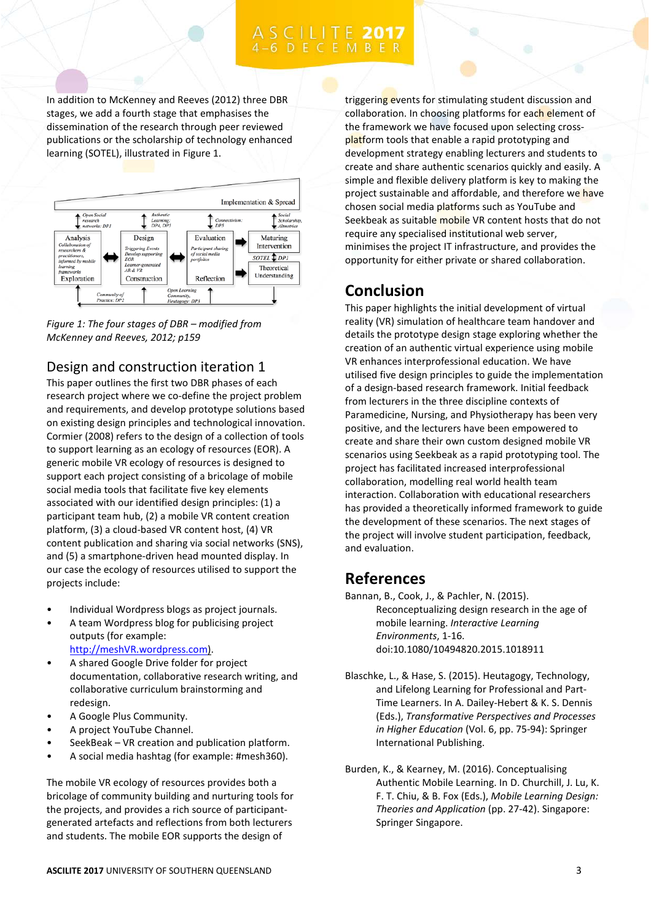# C I L I T E 2017

In addition to McKenney and Reeves (2012) three DBR stages, we add a fourth stage that emphasises the dissemination of the research through peer reviewed publications or the scholarship of technology enhanced learning (SOTEL), illustrated in Figure 1.



*Figure 1: The four stages of DBR – modified from McKenney and Reeves, 2012; p159*

#### Design and construction iteration 1

This paper outlines the first two DBR phases of each research project where we co-define the project problem and requirements, and develop prototype solutions based on existing design principles and technological innovation. Cormier (2008) refers to the design of a collection of tools to support learning as an ecology of resources (EOR). A generic mobile VR ecology of resources is designed to support each project consisting of a bricolage of mobile social media tools that facilitate five key elements associated with our identified design principles: (1) a participant team hub, (2) a mobile VR content creation platform, (3) a cloud-based VR content host, (4) VR content publication and sharing via social networks (SNS), and (5) a smartphone-driven head mounted display. In our case the ecology of resources utilised to support the projects include:

- Individual Wordpress blogs as project journals.
- A team Wordpress blog for publicising project outputs (for example: [http://meshVR.wordpress.com\)](http://meshvr.wordpress.com/).
- A shared Google Drive folder for project documentation, collaborative research writing, and collaborative curriculum brainstorming and redesign.
- A Google Plus Community.
- A project YouTube Channel.
- SeekBeak VR creation and publication platform.
- A social media hashtag (for example: #mesh360).

The mobile VR ecology of resources provides both a bricolage of community building and nurturing tools for the projects, and provides a rich source of participantgenerated artefacts and reflections from both lecturers and students. The mobile EOR supports the design of

triggering events for stimulating student discussion and collaboration. In choosing platforms for each element of the framework we have focused upon selecting crossplatform tools that enable a rapid prototyping and development strategy enabling lecturers and students to create and share authentic scenarios quickly and easily. A simple and flexible delivery platform is key to making the project sustainable and affordable, and therefore we have chosen social media platforms such as YouTube and Seekbeak as suitable mobile VR content hosts that do not require any specialised institutional web server, minimises the project IT infrastructure, and provides the opportunity for either private or shared collaboration.

### **Conclusion**

This paper highlights the initial development of virtual reality (VR) simulation of healthcare team handover and details the prototype design stage exploring whether the creation of an authentic virtual experience using mobile VR enhances interprofessional education. We have utilised five design principles to guide the implementation of a design-based research framework. Initial feedback from lecturers in the three discipline contexts of Paramedicine, Nursing, and Physiotherapy has been very positive, and the lecturers have been empowered to create and share their own custom designed mobile VR scenarios using Seekbeak as a rapid prototyping tool. The project has facilitated increased interprofessional collaboration, modelling real world health team interaction. Collaboration with educational researchers has provided a theoretically informed framework to guide the development of these scenarios. The next stages of the project will involve student participation, feedback, and evaluation.

#### **References**

Bannan, B., Cook, J., & Pachler, N. (2015). Reconceptualizing design research in the age of mobile learning. *Interactive Learning Environments*, 1-16. doi:10.1080/10494820.2015.1018911

Blaschke, L., & Hase, S. (2015). Heutagogy, Technology, and Lifelong Learning for Professional and Part-Time Learners. In A. Dailey-Hebert & K. S. Dennis (Eds.), *Transformative Perspectives and Processes in Higher Education* (Vol. 6, pp. 75-94): Springer International Publishing.

Burden, K., & Kearney, M. (2016). Conceptualising Authentic Mobile Learning. In D. Churchill, J. Lu, K. F. T. Chiu, & B. Fox (Eds.), *Mobile Learning Design: Theories and Application* (pp. 27-42). Singapore: Springer Singapore.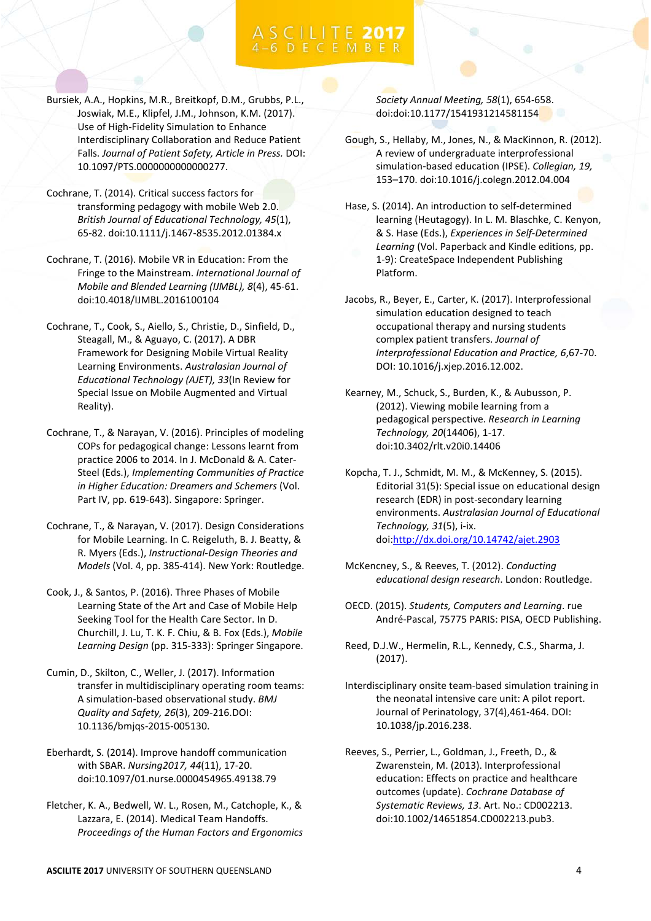- Bursiek, A.A., Hopkins, M.R., Breitkopf, D.M., Grubbs, P.L., Joswiak, M.E., Klipfel, J.M., Johnson, K.M. (2017). Use of High-Fidelity Simulation to Enhance Interdisciplinary Collaboration and Reduce Patient Falls. *Journal of Patient Safety, Article in Press.* DOI: 10.1097/PTS.0000000000000277.
- Cochrane, T. (2014). Critical success factors for transforming pedagogy with mobile Web 2.0. *British Journal of Educational Technology, 45*(1), 65-82. doi:10.1111/j.1467-8535.2012.01384.x
- Cochrane, T. (2016). Mobile VR in Education: From the Fringe to the Mainstream. *International Journal of Mobile and Blended Learning (IJMBL), 8*(4), 45-61. doi:10.4018/IJMBL.2016100104
- Cochrane, T., Cook, S., Aiello, S., Christie, D., Sinfield, D., Steagall, M., & Aguayo, C. (2017). A DBR Framework for Designing Mobile Virtual Reality Learning Environments. *Australasian Journal of Educational Technology (AJET), 33*(In Review for Special Issue on Mobile Augmented and Virtual Reality).
- Cochrane, T., & Narayan, V. (2016). Principles of modeling COPs for pedagogical change: Lessons learnt from practice 2006 to 2014. In J. McDonald & A. Cater-Steel (Eds.), *Implementing Communities of Practice in Higher Education: Dreamers and Schemers* (Vol. Part IV, pp. 619-643). Singapore: Springer.
- Cochrane, T., & Narayan, V. (2017). Design Considerations for Mobile Learning. In C. Reigeluth, B. J. Beatty, & R. Myers (Eds.), *Instructional-Design Theories and Models* (Vol. 4, pp. 385-414). New York: Routledge.
- Cook, J., & Santos, P. (2016). Three Phases of Mobile Learning State of the Art and Case of Mobile Help Seeking Tool for the Health Care Sector. In D. Churchill, J. Lu, T. K. F. Chiu, & B. Fox (Eds.), *Mobile Learning Design* (pp. 315-333): Springer Singapore.
- Cumin, D., Skilton, C., Weller, J. (2017). Information transfer in multidisciplinary operating room teams: A simulation-based observational study. *BMJ Quality and Safety, 26*(3), 209-216.DOI: 10.1136/bmjqs-2015-005130.
- Eberhardt, S. (2014). Improve handoff communication with SBAR. *Nursing2017, 44*(11), 17-20. doi:10.1097/01.nurse.0000454965.49138.79
- Fletcher, K. A., Bedwell, W. L., Rosen, M., Catchople, K., & Lazzara, E. (2014). Medical Team Handoffs. *Proceedings of the Human Factors and Ergonomics*

*Society Annual Meeting, 58*(1), 654-658. doi:doi:10.1177/1541931214581154

- Gough, S., Hellaby, M., Jones, N., & MacKinnon, R. (2012). A review of undergraduate interprofessional simulation-based education (IPSE). *Collegian, 19,*  153–170. doi:10.1016/j.colegn.2012.04.004
- Hase, S. (2014). An introduction to self-determined learning (Heutagogy). In L. M. Blaschke, C. Kenyon, & S. Hase (Eds.), *Experiences in Self-Determined Learning* (Vol. Paperback and Kindle editions, pp. 1-9): CreateSpace Independent Publishing Platform.
- Jacobs, R., Beyer, E., Carter, K. (2017). Interprofessional simulation education designed to teach occupational therapy and nursing students complex patient transfers. *Journal of Interprofessional Education and Practice, 6*,67-70. DOI: 10.1016/j.xjep.2016.12.002.
- Kearney, M., Schuck, S., Burden, K., & Aubusson, P. (2012). Viewing mobile learning from a pedagogical perspective. *Research in Learning Technology, 20*(14406), 1-17. doi:10.3402/rlt.v20i0.14406
- Kopcha, T. J., Schmidt, M. M., & McKenney, S. (2015). Editorial 31(5): Special issue on educational design research (EDR) in post-secondary learning environments. *Australasian Journal of Educational Technology, 31*(5), i-ix. doi[:http://dx.doi.org/10.14742/ajet.2903](http://dx.doi.org/10.14742/ajet.2903)
- McKencney, S., & Reeves, T. (2012). *Conducting educational design research*. London: Routledge.
- OECD. (2015). *Students, Computers and Learning*. rue André-Pascal, 75775 PARIS: PISA, OECD Publishing.
- Reed, D.J.W., Hermelin, R.L., Kennedy, C.S., Sharma, J. (2017).
- Interdisciplinary onsite team-based simulation training in the neonatal intensive care unit: A pilot report. Journal of Perinatology, 37(4),461-464. DOI: 10.1038/jp.2016.238.
- Reeves, S., Perrier, L., Goldman, J., Freeth, D., & Zwarenstein, M. (2013). Interprofessional education: Effects on practice and healthcare outcomes (update). *Cochrane Database of Systematic Reviews, 13*. Art. No.: CD002213. doi:10.1002/14651854.CD002213.pub3.